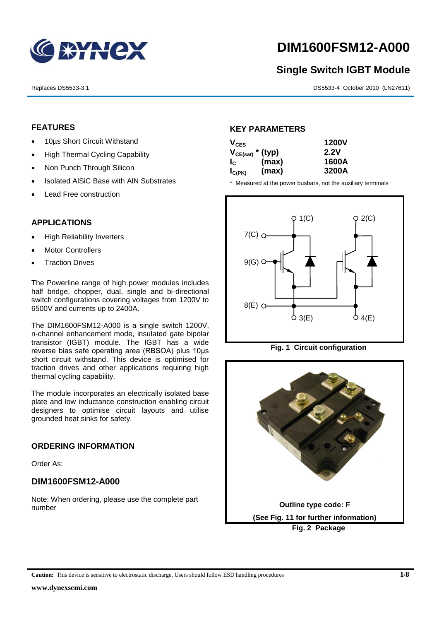

# **DIM1600FSM12-A000**

# **Single Switch IGBT Module**

Replaces DS5533-3.1 DS5533-4 October 2010 (LN27611)

# **FEATURES**

- 10µs Short Circuit Withstand
- High Thermal Cycling Capability
- Non Punch Through Silicon
- Isolated AISiC Base with AIN Substrates
- Lead Free construction

# **APPLICATIONS**

- High Reliability Inverters
- Motor Controllers
- Traction Drives

The Powerline range of high power modules includes half bridge, chopper, dual, single and bi-directional switch configurations covering voltages from 1200V to 6500V and currents up to 2400A.

The DIM1600FSM12-A000 is a single switch 1200V, n-channel enhancement mode, insulated gate bipolar transistor (IGBT) module. The IGBT has a wide reverse bias safe operating area (RBSOA) plus 10μs short circuit withstand. This device is optimised for traction drives and other applications requiring high thermal cycling capability.

The module incorporates an electrically isolated base plate and low inductance construction enabling circuit designers to optimise circuit layouts and utilise grounded heat sinks for safety.

# **ORDERING INFORMATION**

Order As:

# **DIM1600FSM12-A000**

Note: When ordering, please use the complete part number

# **KEY PARAMETERS**

| $V_{CES}$             |       | <b>1200V</b> |
|-----------------------|-------|--------------|
| $V_{CE(sat)}$ * (typ) |       | 2.2V         |
| $I_{\rm c}$           | (max) | 1600A        |
| $I_{C(PK)}$           | (max) | 3200A        |

\* Measured at the power busbars, not the auxiliary terminals





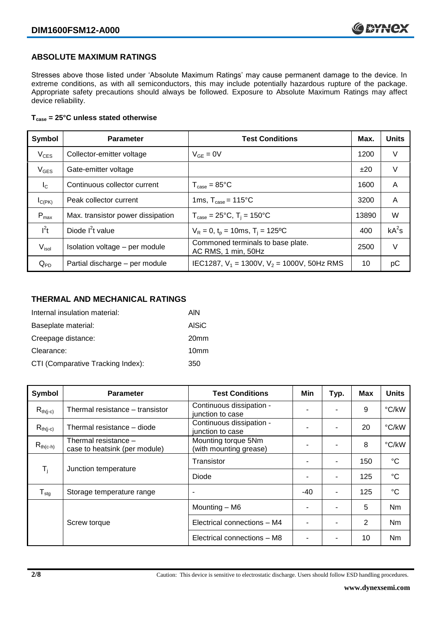# **ABSOLUTE MAXIMUM RATINGS**

Stresses above those listed under 'Absolute Maximum Ratings' may cause permanent damage to the device. In extreme conditions, as with all semiconductors, this may include potentially hazardous rupture of the package. Appropriate safety precautions should always be followed. Exposure to Absolute Maximum Ratings may affect device reliability.

## **Tcase = 25°C unless stated otherwise**

| Symbol            | <b>Test Conditions</b><br><b>Parameter</b> |                                                          | Max.  | <b>Units</b> |
|-------------------|--------------------------------------------|----------------------------------------------------------|-------|--------------|
| $V_{CES}$         | Collector-emitter voltage                  | $V_{GF} = 0V$                                            | 1200  | V            |
| $V_{\text{GES}}$  | Gate-emitter voltage                       |                                                          | ±20   | V            |
| $I_{\rm C}$       | Continuous collector current               | $T_{\text{case}} = 85^{\circ}$ C                         | 1600  | A            |
| $I_{C(PK)}$       | Peak collector current                     | 1ms, $T_{\text{case}} = 115^{\circ}$ C                   | 3200  | A            |
| $P_{max}$         | Max. transistor power dissipation          | $T_{\text{case}} = 25^{\circ}C$ , $T_i = 150^{\circ}C$   | 13890 | W            |
| $I^2t$            | Diode $I^2t$ value                         | $V_R = 0$ , $t_p = 10$ ms, $T_i = 125$ °C                | 400   | $kA^2s$      |
| V <sub>isol</sub> | Isolation voltage - per module             | Commoned terminals to base plate.<br>AC RMS, 1 min, 50Hz | 2500  | V            |
| $Q_{PD}$          | Partial discharge - per module             | IEC1287, $V_1$ = 1300V, $V_2$ = 1000V, 50Hz RMS          | 10    | рC           |

# **THERMAL AND MECHANICAL RATINGS**

| Internal insulation material:     | AIN              |
|-----------------------------------|------------------|
| Baseplate material:               | <b>AISiC</b>     |
| Creepage distance:                | 20 <sub>mm</sub> |
| Clearance:                        | 10 <sub>mm</sub> |
| CTI (Comparative Tracking Index): | 350              |

| Symbol                     | <b>Parameter</b>                                      | <b>Test Conditions</b>                        | Min | Typ. | Max | <b>Units</b>    |
|----------------------------|-------------------------------------------------------|-----------------------------------------------|-----|------|-----|-----------------|
| $R_{th(j-c)}$              | Thermal resistance – transistor                       | Continuous dissipation -<br>junction to case  |     |      | 9   | °C/kW           |
| $R_{th(i-c)}$              | Thermal resistance - diode                            | Continuous dissipation -<br>junction to case  |     |      | 20  | °C/kW           |
| $R_{th(c-h)}$              | Thermal resistance -<br>case to heatsink (per module) | Mounting torque 5Nm<br>(with mounting grease) | ٠   |      | 8   | °C/kW           |
| $\mathsf{T}_{\mathsf{i}}$  |                                                       | Transistor                                    |     | ۰    | 150 | $^{\circ}C$     |
|                            | Junction temperature                                  | Diode                                         | ٠   | ۰    | 125 | $\rm ^{\circ}C$ |
| ${\mathsf T}_{\text{stg}}$ | Storage temperature range                             | $\overline{\phantom{a}}$                      | -40 | ۰    | 125 | $^{\circ}C$     |
|                            |                                                       | Mounting - M6                                 |     |      | 5   | Nm              |
|                            | Screw torque                                          | Electrical connections - M4                   |     |      | 2   | N <sub>m</sub>  |
|                            |                                                       | Electrical connections - M8                   |     |      | 10  | Nm              |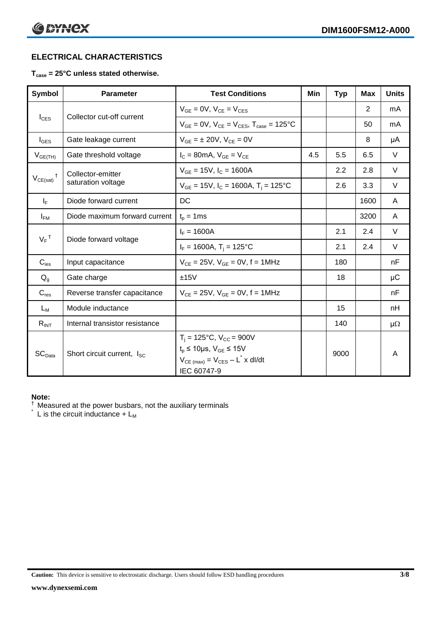# **ELECTRICAL CHARACTERISTICS**

# **Tcase = 25°C unless stated otherwise.**

| <b>Symbol</b>      | <b>Parameter</b>                       | <b>Test Conditions</b>                                                                                                                                           | Min | <b>Typ</b> | <b>Max</b> | <b>Units</b> |
|--------------------|----------------------------------------|------------------------------------------------------------------------------------------------------------------------------------------------------------------|-----|------------|------------|--------------|
| $I_{CES}$          |                                        | $V_{GE} = 0V$ , $V_{CE} = V_{CES}$                                                                                                                               |     |            | 2          | mA           |
|                    | Collector cut-off current              | $V_{GF} = 0V$ , $V_{CF} = V_{CES}$ , $T_{case} = 125^{\circ}C$                                                                                                   |     |            | 50         | mA           |
| $I_{\text{GES}}$   | Gate leakage current                   | $V_{GF} = \pm 20V$ , $V_{CE} = 0V$                                                                                                                               |     |            | 8          | μA           |
| $V_{GE(TH)}$       | Gate threshold voltage                 | $I_c = 80$ mA, $V_{GE} = V_{CE}$                                                                                                                                 | 4.5 | 5.5        | 6.5        | $\vee$       |
|                    | Collector-emitter                      | $V_{GE}$ = 15V, $I_C$ = 1600A                                                                                                                                    |     | 2.2        | 2.8        | V            |
| $V_{CE(sat)}$      | saturation voltage                     | $V_{GE}$ = 15V, $I_C$ = 1600A, $T_i$ = 125°C                                                                                                                     |     | 2.6        | 3.3        | $\vee$       |
| $I_F$              | Diode forward current                  | DC                                                                                                                                                               |     |            | 1600       | A            |
| $I_{FM}$           | Diode maximum forward current          | $t_p = 1$ ms                                                                                                                                                     |     |            | 3200       | A            |
|                    |                                        | $I_F = 1600A$                                                                                                                                                    |     | 2.1        | 2.4        | V            |
| $V_F$ <sup>†</sup> | Diode forward voltage                  | $I_F = 1600A$ , $T_i = 125^{\circ}C$                                                                                                                             |     | 2.1        | 2.4        | V            |
| $C_{\text{ies}}$   | Input capacitance                      | $V_{CE} = 25V$ , $V_{GE} = 0V$ , f = 1MHz                                                                                                                        |     | 180        |            | nF           |
| $Q_g$              | Gate charge                            | ±15V                                                                                                                                                             |     | 18         |            | μC           |
| $C_{res}$          | Reverse transfer capacitance           | $V_{CF} = 25V$ , $V_{GF} = 0V$ , f = 1MHz                                                                                                                        |     |            |            | nF           |
| $L_M$              | Module inductance                      |                                                                                                                                                                  |     | 15         |            | nH           |
| $R_{INT}$          | Internal transistor resistance         |                                                                                                                                                                  |     | 140        |            | μ $Ω$        |
| SC <sub>Data</sub> | Short circuit current, I <sub>SC</sub> | $T_i = 125$ °C, V <sub>CC</sub> = 900V<br>$t_p \le 10 \mu s$ , $V_{GE} \le 15V$<br>$V_{CE \text{ (max)}} = V_{CES} - L^{\dagger} x \text{ dI/dt}$<br>IEC 60747-9 |     | 9000       |            | A            |

## **Note:**

 $\dagger$  Measured at the power busbars, not the auxiliary terminals

 $\check{}$  L is the circuit inductance +  $L_M$ 

**Caution:** This device is sensitive to electrostatic discharge. Users should follow ESD handling procedures **3/8**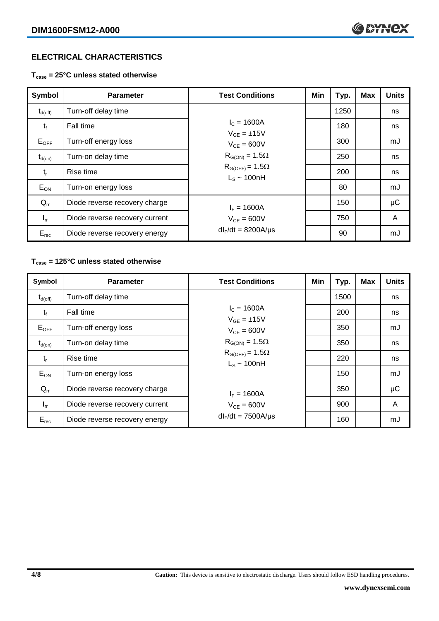# **ELECTRICAL CHARACTERISTICS**

**Tcase = 25°C unless stated otherwise**

| Symbol              | <b>Parameter</b>               | <b>Test Conditions</b>                       | Min | Typ. | <b>Max</b> | <b>Units</b> |
|---------------------|--------------------------------|----------------------------------------------|-----|------|------------|--------------|
| $t_{d(\text{off})}$ | Turn-off delay time            |                                              |     | 1250 |            | ns           |
| $t_{f}$             | Fall time                      | $I_c = 1600A$<br>$V_{GF} = \pm 15V$          |     | 180  |            | ns           |
| $E_{OFF}$           | Turn-off energy loss           | $V_{CF} = 600V$                              |     | 300  |            | mJ           |
| $t_{d(on)}$         | Turn-on delay time             | $R_{G(ON)} = 1.5\Omega$                      |     | 250  |            | ns           |
| $t_{r}$             | Rise time                      | $R_{G(OFF)} = 1.5\Omega$<br>$L_s \sim 100hH$ |     | 200  |            | ns           |
| $E_{ON}$            | Turn-on energy loss            |                                              |     | 80   |            | mJ           |
| $Q_{rr}$            | Diode reverse recovery charge  | $I_F = 1600A$                                |     | 150  |            | μC           |
| $I_{rr}$            | Diode reverse recovery current | $V_{CF} = 600V$                              |     | 750  |            | A            |
| $E_{rec}$           | Diode reverse recovery energy  | $dl_F/dt = 8200A/\mu s$                      |     | 90   |            | mJ           |

# **Tcase = 125°C unless stated otherwise**

| Symbol              | <b>Parameter</b>               | <b>Test Conditions</b>                       | Min | Typ. | <b>Max</b> | <b>Units</b> |
|---------------------|--------------------------------|----------------------------------------------|-----|------|------------|--------------|
| $t_{d(\text{off})}$ | Turn-off delay time            |                                              |     | 1500 |            | ns           |
| $t_{f}$             | Fall time                      | $I_c = 1600A$<br>$V_{GF} = \pm 15V$          |     | 200  |            | ns           |
| $E_{OFF}$           | Turn-off energy loss           | $V_{CF} = 600V$<br>$R_{G(ON)} = 1.5\Omega$   |     | 350  |            | mJ           |
| $t_{d(on)}$         | Turn-on delay time             |                                              |     | 350  |            | ns           |
| $t_{r}$             | Rise time                      | $R_{G(OFF)} = 1.5\Omega$<br>$L_s \sim 100nH$ |     | 220  |            | ns           |
| $E_{ON}$            | Turn-on energy loss            |                                              |     | 150  |            | mJ           |
| $Q_{rr}$            | Diode reverse recovery charge  | $I_F = 1600A$                                |     | 350  |            | μC           |
| $I_{rr}$            | Diode reverse recovery current | $V_{CE} = 600V$                              |     | 900  |            | A            |
| $E_{rec}$           | Diode reverse recovery energy  | $dl_F/dt = 7500A/\mu s$                      |     | 160  |            | mJ           |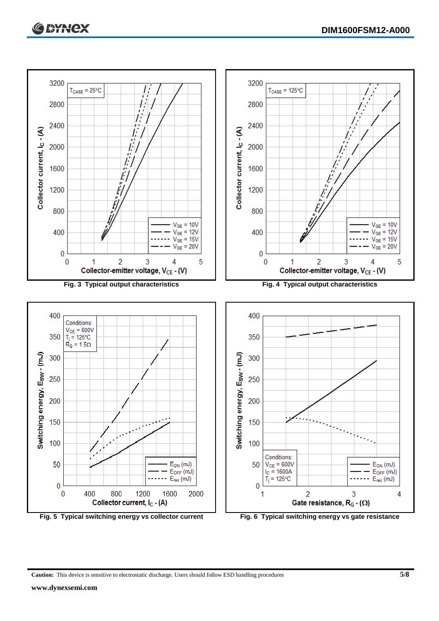



**Caution:** This device is sensitive to electrostatic discharge. Users should follow ESD handling procedures **5/8**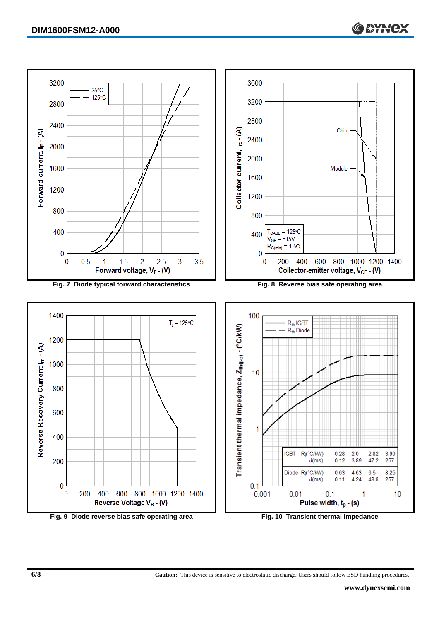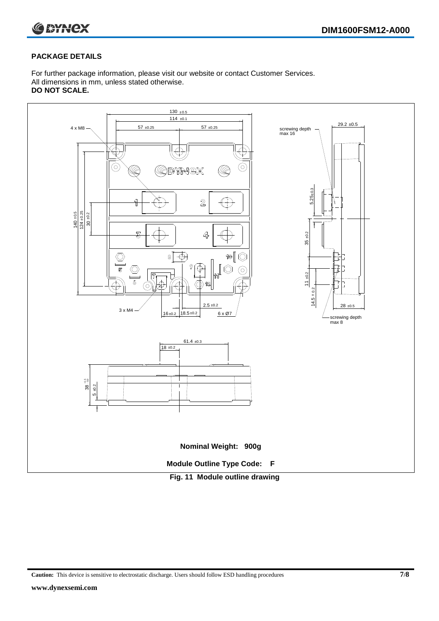

# **PACKAGE DETAILS**

For further package information, please visit our website or contact Customer Services. All dimensions in mm, unless stated otherwise. **DO NOT SCALE.**



**Caution:** This device is sensitive to electrostatic discharge. Users should follow ESD handling procedures **7/8**